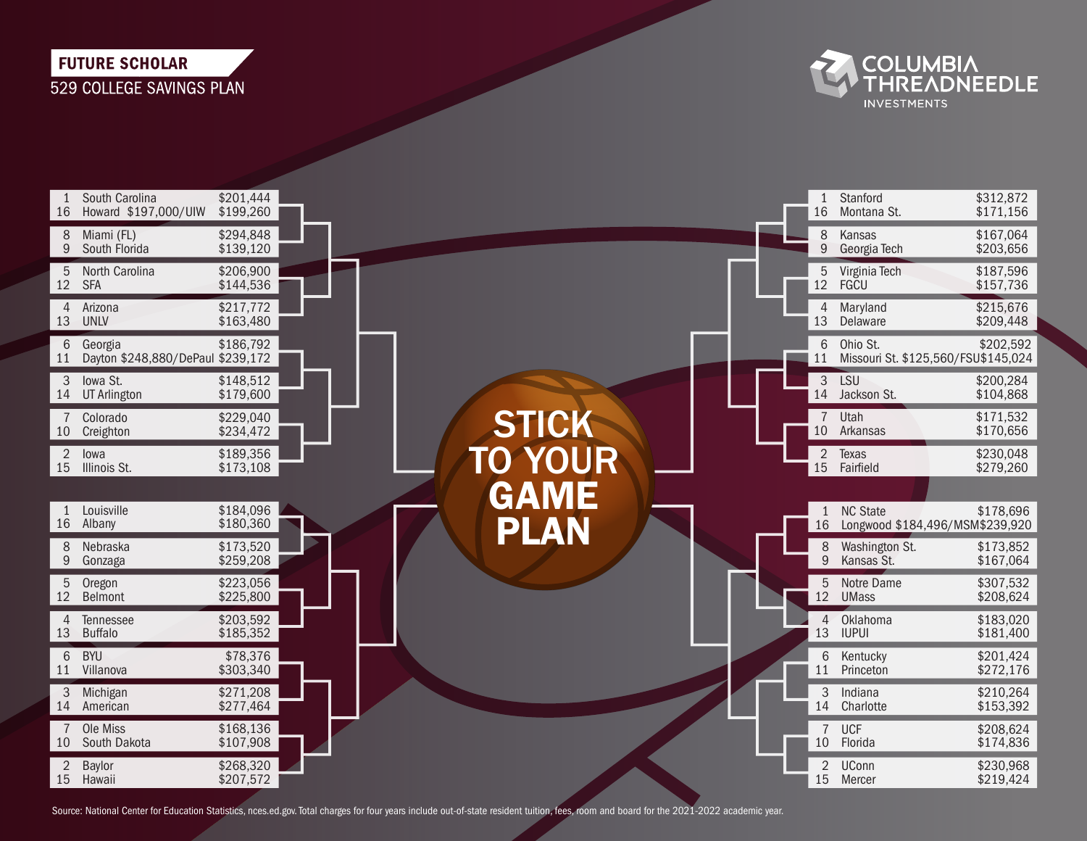## **FUTURE SCHOLAR** 529 COLLEGE SAVINGS PLAN



| 16                   | South Carolina<br>Howard \$197,000/UIW       | \$201,444<br>\$199,260 |  |                |  | $\mathbf{1}$<br>16   | Stanford<br>Montana St.      | \$312,872<br>\$171,156                           |
|----------------------|----------------------------------------------|------------------------|--|----------------|--|----------------------|------------------------------|--------------------------------------------------|
| 8<br>9               | Miami (FL)<br>South Florida                  | \$294,848<br>\$139,120 |  |                |  | 8<br>9               | Kansas<br>Georgia Tech       | \$167,064<br>\$203,656                           |
| 5                    | North Carolina<br>12 SFA                     | \$206,900<br>\$144,536 |  |                |  | 5                    | Virginia Tech<br>12 FGCU     | \$187,596<br>\$157,736                           |
| 4<br>13              | Arizona<br><b>UNLV</b>                       | \$217,772<br>\$163,480 |  |                |  | 4<br>13              | Maryland<br>Delaware         | \$215,676<br>\$209,448                           |
| 6<br>11              | Georgia<br>Dayton \$248,880/DePaul \$239,172 | \$186,792              |  |                |  | 6<br>11              | Ohio St.                     | \$202,592<br>Missouri St. \$125,560/FSU\$145,024 |
| 3<br>14              | Iowa St.<br>UT Arlington                     | \$148,512<br>\$179,600 |  |                |  | $\mathfrak{Z}$       | LSU<br>14 Jackson St.        | \$200,284<br>\$104,868                           |
| $\overline{7}$<br>10 | Colorado<br>Creighton                        | \$229,040<br>\$234,472 |  | <b>STICK</b>   |  | $\overline{7}$<br>10 | Utah<br>Arkansas             | \$171,532<br>\$170,656                           |
| $\overline{2}$<br>15 | lowa<br>Illinois St.                         | \$189,356<br>\$173,108 |  | <b>TO YOUR</b> |  | $\overline{2}$<br>15 | Texas<br>Fairfield           | \$230,048<br>\$279,260                           |
|                      | Louisville                                   | \$184,096              |  | GAME           |  |                      | <b>NC State</b>              | \$178,696                                        |
| 16                   | Albany                                       | \$180,360              |  | PLAN           |  | $\mathbf{1}$<br>16   |                              | Longwood \$184,496/MSM\$239,920                  |
| 8<br>9               | Nebraska<br>Gonzaga                          | \$173,520<br>\$259,208 |  |                |  | 8<br>9               | Washington St.<br>Kansas St. | \$173,852<br>\$167,064                           |
| 5<br>12              | Oregon<br><b>Belmont</b>                     | \$223,056<br>\$225,800 |  |                |  | 5                    | Notre Dame<br>12 UMass       | \$307,532<br>\$208,624                           |
| 4<br>13              | Tennessee<br>Buffalo                         | \$203,592<br>\$185,352 |  |                |  | $\overline{4}$<br>13 | Oklahoma<br><b>IUPUI</b>     | \$183,020<br>\$181,400                           |
| 6<br>11              | <b>BYU</b><br>Villanova                      | \$78,376<br>\$303,340  |  |                |  | 6<br>11              | Kentucky<br>Princeton        | \$201,424<br>\$272,176                           |
| 3<br>14              | Michigan<br>American                         | \$271,208<br>\$277,464 |  |                |  | 3<br>14              | Indiana<br>Charlotte         | \$210,264<br>\$153,392                           |
| 10                   | Ole Miss<br>South Dakota                     | \$168,136<br>\$107,908 |  |                |  | $\overline{7}$<br>10 | <b>UCF</b><br>Florida        | \$208,624<br>\$174,836                           |
| $\overline{2}$       | Baylor<br>15 Hawaii                          | \$268,320<br>\$207,572 |  |                |  | $\overline{2}$       | UConn<br>15 Mercer           | \$230,968<br>\$219,424                           |

Source: National Center for Education Statistics, nces.ed.gov. Total charges for four years include out-of-state resident tuition, fees, room and board for the 2021-2022 academic year.